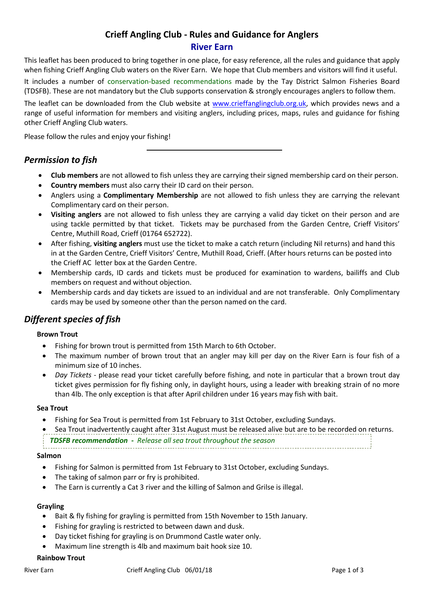# **Crieff Angling Club - Rules and Guidance for Anglers River Earn**

This leaflet has been produced to bring together in one place, for easy reference, all the rules and guidance that apply when fishing Crieff Angling Club waters on the River Earn. We hope that Club members and visitors will find it useful.

It includes a number of conservation-based recommendations made by the Tay District Salmon Fisheries Board (TDSFB). These are not mandatory but the Club supports conservation & strongly encourages anglers to follow them.

The leaflet can be downloaded from the Club website at [www.crieffanglingclub.org.uk,](http://www.crieffanglingclub.org.uk/) which provides news and a range of useful information for members and visiting anglers, including prices, maps, rules and guidance for fishing other Crieff Angling Club waters.

Please follow the rules and enjoy your fishing!

## *Permission to fish*

- **Club members** are not allowed to fish unless they are carrying their signed membership card on their person.
- **Country members** must also carry their ID card on their person.
- Anglers using a **Complimentary Membership** are not allowed to fish unless they are carrying the relevant Complimentary card on their person.
- **Visiting anglers** are not allowed to fish unless they are carrying a valid day ticket on their person and are using tackle permitted by that ticket. Tickets may be purchased from the Garden Centre, Crieff Visitors' Centre, Muthill Road, Crieff (01764 652722).
- After fishing, **visiting anglers** must use the ticket to make a catch return (including Nil returns) and hand this in at the Garden Centre, Crieff Visitors' Centre, Muthill Road, Crieff. (After hours returns can be posted into the Crieff AC letter box at the Garden Centre.
- Membership cards, ID cards and tickets must be produced for examination to wardens, bailiffs and Club members on request and without objection.
- Membership cards and day tickets are issued to an individual and are not transferable. Only Complimentary cards may be used by someone other than the person named on the card.

# *Different species of fish*

#### **Brown Trout**

- Fishing for brown trout is permitted from 15th March to 6th October.
- The maximum number of brown trout that an angler may kill per day on the River Earn is four fish of a minimum size of 10 inches.
- *Day Tickets* please read your ticket carefully before fishing, and note in particular that a brown trout day ticket gives permission for fly fishing only, in daylight hours, using a leader with breaking strain of no more than 4lb. The only exception is that after April children under 16 years may fish with bait.

#### **Sea Trout**

• Fishing for Sea Trout is permitted from 1st February to 31st October, excluding Sundays.

• Sea Trout inadvertently caught after 31st August must be released alive but are to be recorded on returns. *TDSFB recommendation - Release all sea trout throughout the season*

#### **Salmon**

- Fishing for Salmon is permitted from 1st February to 31st October, excluding Sundays.
- The taking of salmon parr or fry is prohibited.
- The Earn is currently a Cat 3 river and the killing of Salmon and Grilse is illegal.

#### **Grayling**

- Bait & fly fishing for grayling is permitted from 15th November to 15th January.
- Fishing for grayling is restricted to between dawn and dusk.
- Day ticket fishing for grayling is on Drummond Castle water only.
- Maximum line strength is 4lb and maximum bait hook size 10.

#### **Rainbow Trout**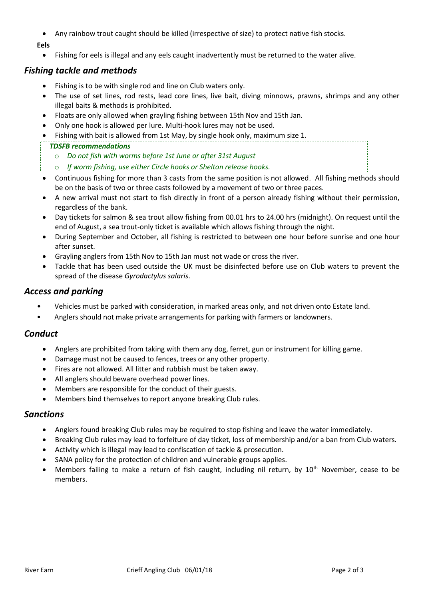• Any rainbow trout caught should be killed (irrespective of size) to protect native fish stocks.

#### **Eels**

• Fishing for eels is illegal and any eels caught inadvertently must be returned to the water alive.

## *Fishing tackle and methods*

- Fishing is to be with single rod and line on Club waters only.
- The use of set lines, rod rests, lead core lines, live bait, diving minnows, prawns, shrimps and any other illegal baits & methods is prohibited.
- Floats are only allowed when grayling fishing between 15th Nov and 15th Jan.
- Only one hook is allowed per lure. Multi-hook lures may not be used.
- Fishing with bait is allowed from 1st May, by single hook only, maximum size 1.
- *TDSFB recommendations*
	- o *Do not fish with worms before 1st June or after 31st August*
- o *If worm fishing, use either Circle hooks or Shelton release hooks.*
- Continuous fishing for more than 3 casts from the same position is not allowed. All fishing methods should be on the basis of two or three casts followed by a movement of two or three paces.
- A new arrival must not start to fish directly in front of a person already fishing without their permission, regardless of the bank.
- Day tickets for salmon & sea trout allow fishing from 00.01 hrs to 24.00 hrs (midnight). On request until the end of August, a sea trout-only ticket is available which allows fishing through the night.
- During September and October, all fishing is restricted to between one hour before sunrise and one hour after sunset.
- Grayling anglers from 15th Nov to 15th Jan must not wade or cross the river.
- Tackle that has been used outside the UK must be disinfected before use on Club waters to prevent the spread of the disease *Gyrodactylus salaris*.

## *Access and parking*

- Vehicles must be parked with consideration, in marked areas only, and not driven onto Estate land.
- Anglers should not make private arrangements for parking with farmers or landowners.

### *Conduct*

- Anglers are prohibited from taking with them any dog, ferret, gun or instrument for killing game.
- Damage must not be caused to fences, trees or any other property.
- Fires are not allowed. All litter and rubbish must be taken away.
- All anglers should beware overhead power lines.
- Members are responsible for the conduct of their guests.
- Members bind themselves to report anyone breaking Club rules.

### *Sanctions*

- Anglers found breaking Club rules may be required to stop fishing and leave the water immediately.
- Breaking Club rules may lead to forfeiture of day ticket, loss of membership and/or a ban from Club waters.
- Activity which is illegal may lead to confiscation of tackle & prosecution.
- SANA policy for the protection of children and vulnerable groups applies.
- Members failing to make a return of fish caught, including nil return, by 10<sup>th</sup> November, cease to be members.